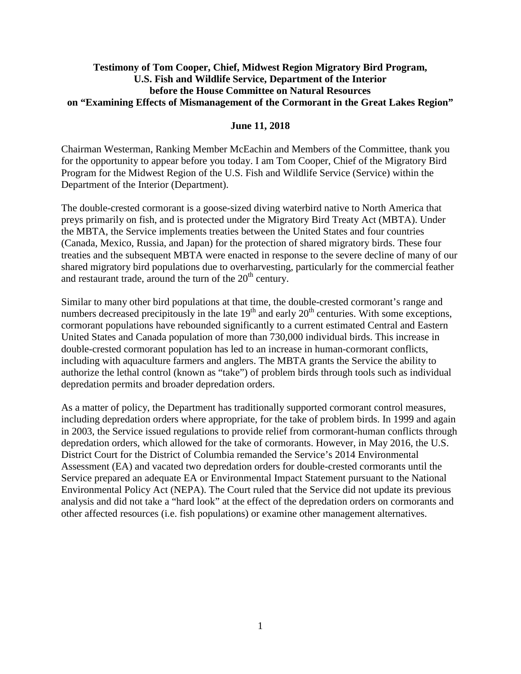## **Testimony of Tom Cooper, Chief, Midwest Region Migratory Bird Program, U.S. Fish and Wildlife Service, Department of the Interior before the House Committee on Natural Resources on "Examining Effects of Mismanagement of the Cormorant in the Great Lakes Region"**

## **June 11, 2018**

Chairman Westerman, Ranking Member McEachin and Members of the Committee, thank you for the opportunity to appear before you today. I am Tom Cooper, Chief of the Migratory Bird Program for the Midwest Region of the U.S. Fish and Wildlife Service (Service) within the Department of the Interior (Department).

The double-crested cormorant is a goose-sized diving waterbird native to North America that preys primarily on fish, and is protected under the Migratory Bird Treaty Act (MBTA). Under the MBTA, the Service implements treaties between the United States and four countries (Canada, Mexico, Russia, and Japan) for the protection of shared migratory birds. These four treaties and the subsequent MBTA were enacted in response to the severe decline of many of our shared migratory bird populations due to overharvesting, particularly for the commercial feather and restaurant trade, around the turn of the  $20<sup>th</sup>$  century.

Similar to many other bird populations at that time, the double-crested cormorant's range and numbers decreased precipitously in the late  $19<sup>th</sup>$  and early  $20<sup>th</sup>$  centuries. With some exceptions, cormorant populations have rebounded significantly to a current estimated Central and Eastern United States and Canada population of more than 730,000 individual birds. This increase in double-crested cormorant population has led to an increase in human-cormorant conflicts, including with aquaculture farmers and anglers. The MBTA grants the Service the ability to authorize the lethal control (known as "take") of problem birds through tools such as individual depredation permits and broader depredation orders.

As a matter of policy, the Department has traditionally supported cormorant control measures, including depredation orders where appropriate, for the take of problem birds. In 1999 and again in 2003, the Service issued regulations to provide relief from cormorant-human conflicts through depredation orders, which allowed for the take of cormorants. However, in May 2016, the U.S. District Court for the District of Columbia remanded the Service's 2014 Environmental Assessment (EA) and vacated two depredation orders for double-crested cormorants until the Service prepared an adequate EA or Environmental Impact Statement pursuant to the National Environmental Policy Act (NEPA). The Court ruled that the Service did not update its previous analysis and did not take a "hard look" at the effect of the depredation orders on cormorants and other affected resources (i.e. fish populations) or examine other management alternatives.